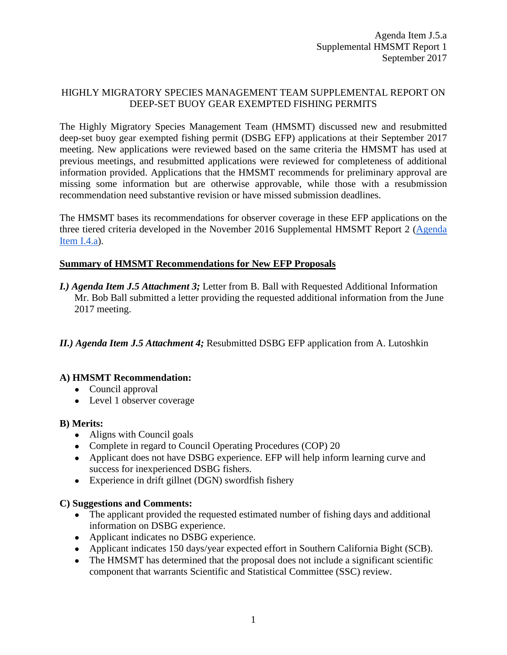### HIGHLY MIGRATORY SPECIES MANAGEMENT TEAM SUPPLEMENTAL REPORT ON DEEP-SET BUOY GEAR EXEMPTED FISHING PERMITS

The Highly Migratory Species Management Team (HMSMT) discussed new and resubmitted deep-set buoy gear exempted fishing permit (DSBG EFP) applications at their September 2017 meeting. New applications were reviewed based on the same criteria the HMSMT has used at previous meetings, and resubmitted applications were reviewed for completeness of additional information provided. Applications that the HMSMT recommends for preliminary approval are missing some information but are otherwise approvable, while those with a resubmission recommendation need substantive revision or have missed submission deadlines.

The HMSMT bases its recommendations for observer coverage in these EFP applications on the three tiered criteria developed in the November 2016 Supplemental HMSMT Report 2 [\(Agenda](http://www.pcouncil.org/wp-content/uploads/2016/11/I4a_Sup_HMSMT_Rpt2_DSBG_EFPs_NOV2016BB.pdf)  [Item I.4.a\)](http://www.pcouncil.org/wp-content/uploads/2016/11/I4a_Sup_HMSMT_Rpt2_DSBG_EFPs_NOV2016BB.pdf).

### **Summary of HMSMT Recommendations for New EFP Proposals**

*I.) Agenda Item J.5 Attachment 3;* Letter from B. Ball with Requested Additional Information Mr. Bob Ball submitted a letter providing the requested additional information from the June 2017 meeting.

*II.) Agenda Item J.5 Attachment 4;* Resubmitted DSBG EFP application from A. Lutoshkin

### **A) HMSMT Recommendation:**

- Council approval
- Level 1 observer coverage

### **B) Merits:**

- Aligns with Council goals
- Complete in regard to Council Operating Procedures (COP) 20
- Applicant does not have DSBG experience. EFP will help inform learning curve and success for inexperienced DSBG fishers.
- Experience in drift gillnet (DGN) swordfish fishery

### **C) Suggestions and Comments:**

- The applicant provided the requested estimated number of fishing days and additional information on DSBG experience.
- Applicant indicates no DSBG experience.
- Applicant indicates 150 days/year expected effort in Southern California Bight (SCB).
- The HMSMT has determined that the proposal does not include a significant scientific component that warrants Scientific and Statistical Committee (SSC) review.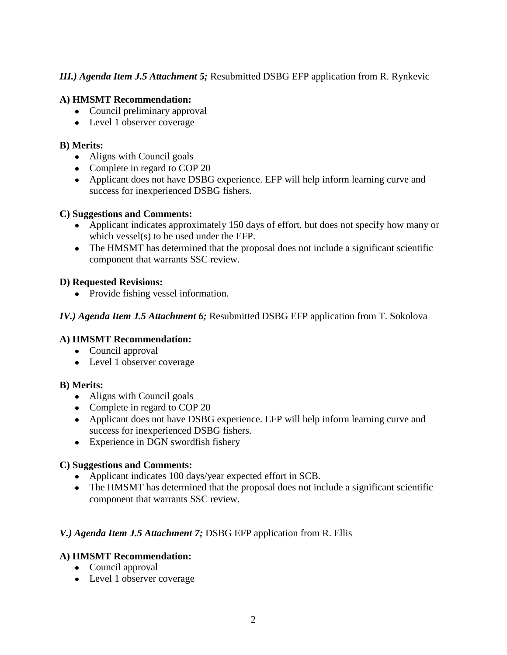### *III.) Agenda Item J.5 Attachment 5;* Resubmitted DSBG EFP application from R. Rynkevic

### **A) HMSMT Recommendation:**

- Council preliminary approval
- Level 1 observer coverage

### **B) Merits:**

- Aligns with Council goals
- Complete in regard to COP 20
- Applicant does not have DSBG experience. EFP will help inform learning curve and success for inexperienced DSBG fishers.

### **C) Suggestions and Comments:**

- Applicant indicates approximately 150 days of effort, but does not specify how many or which vessel(s) to be used under the EFP.
- The HMSMT has determined that the proposal does not include a significant scientific component that warrants SSC review.

### **D) Requested Revisions:**

• Provide fishing vessel information.

### *IV.) Agenda Item J.5 Attachment 6;* Resubmitted DSBG EFP application from T. Sokolova

### **A) HMSMT Recommendation:**

- Council approval
- Level 1 observer coverage

### **B) Merits:**

- Aligns with Council goals
- Complete in regard to COP 20
- Applicant does not have DSBG experience. EFP will help inform learning curve and success for inexperienced DSBG fishers.
- Experience in DGN swordfish fishery

### **C) Suggestions and Comments:**

- Applicant indicates 100 days/year expected effort in SCB.
- The HMSMT has determined that the proposal does not include a significant scientific component that warrants SSC review.

# *V.) Agenda Item J.5 Attachment 7;* DSBG EFP application from R. Ellis

- Council approval
- Level 1 observer coverage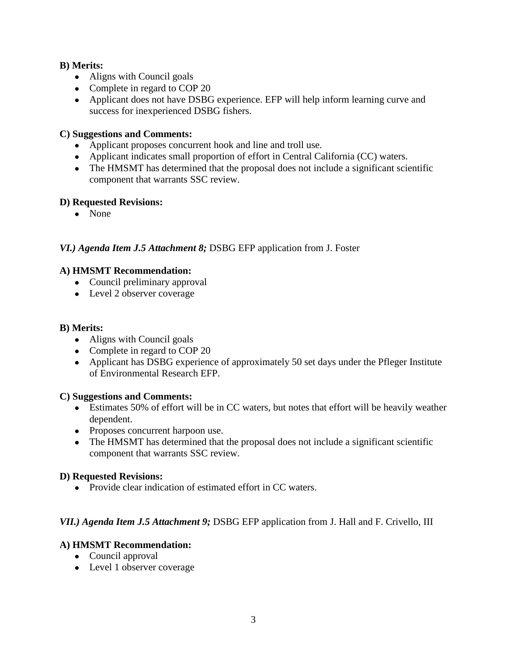- Aligns with Council goals
- Complete in regard to COP 20
- Applicant does not have DSBG experience. EFP will help inform learning curve and success for inexperienced DSBG fishers.

### **C) Suggestions and Comments:**

- Applicant proposes concurrent hook and line and troll use.
- Applicant indicates small proportion of effort in Central California (CC) waters.
- The HMSMT has determined that the proposal does not include a significant scientific component that warrants SSC review.

### **D) Requested Revisions:**

● None

# *VI.) Agenda Item J.5 Attachment 8;* DSBG EFP application from J. Foster

### **A) HMSMT Recommendation:**

- Council preliminary approval
- Level 2 observer coverage

### **B) Merits:**

- Aligns with Council goals
- Complete in regard to COP 20
- Applicant has DSBG experience of approximately 50 set days under the Pfleger Institute of Environmental Research EFP.

### **C) Suggestions and Comments:**

- Estimates 50% of effort will be in CC waters, but notes that effort will be heavily weather dependent.
- Proposes concurrent harpoon use.
- The HMSMT has determined that the proposal does not include a significant scientific component that warrants SSC review.

### **D) Requested Revisions:**

• Provide clear indication of estimated effort in CC waters.

### *VII.) Agenda Item J.5 Attachment 9;* DSBG EFP application from J. Hall and F. Crivello, III

- Council approval
- Level 1 observer coverage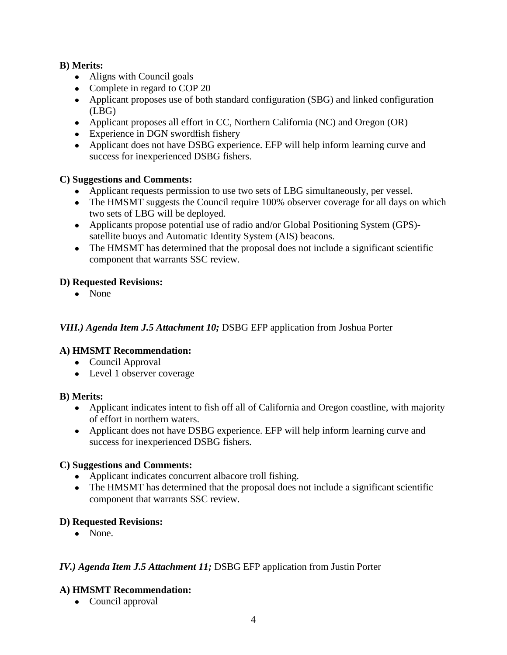- Aligns with Council goals
- Complete in regard to COP 20
- Applicant proposes use of both standard configuration (SBG) and linked configuration (LBG)
- Applicant proposes all effort in CC, Northern California (NC) and Oregon (OR)
- Experience in DGN swordfish fishery
- Applicant does not have DSBG experience. EFP will help inform learning curve and success for inexperienced DSBG fishers.

### **C) Suggestions and Comments:**

- Applicant requests permission to use two sets of LBG simultaneously, per vessel.
- The HMSMT suggests the Council require 100% observer coverage for all days on which two sets of LBG will be deployed.
- Applicants propose potential use of radio and/or Global Positioning System (GPS) satellite buoys and Automatic Identity System (AIS) beacons.
- The HMSMT has determined that the proposal does not include a significant scientific component that warrants SSC review.

# **D) Requested Revisions:**

● None

# *VIII.) Agenda Item J.5 Attachment 10;* DSBG EFP application from Joshua Porter

# **A) HMSMT Recommendation:**

- Council Approval
- Level 1 observer coverage

### **B) Merits:**

- Applicant indicates intent to fish off all of California and Oregon coastline, with majority of effort in northern waters.
- Applicant does not have DSBG experience. EFP will help inform learning curve and success for inexperienced DSBG fishers.

### **C) Suggestions and Comments:**

- Applicant indicates concurrent albacore troll fishing.
- The HMSMT has determined that the proposal does not include a significant scientific component that warrants SSC review.

# **D) Requested Revisions:**

• None.

# *IV.) Agenda Item J.5 Attachment 11;* DSBG EFP application from Justin Porter

# **A) HMSMT Recommendation:**

• Council approval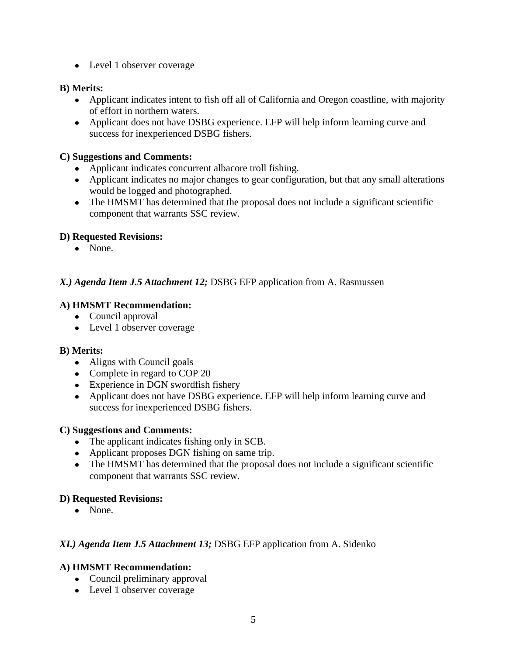• Level 1 observer coverage

### **B) Merits:**

- Applicant indicates intent to fish off all of California and Oregon coastline, with majority of effort in northern waters.
- Applicant does not have DSBG experience. EFP will help inform learning curve and success for inexperienced DSBG fishers.

### **C) Suggestions and Comments:**

- Applicant indicates concurrent albacore troll fishing.
- Applicant indicates no major changes to gear configuration, but that any small alterations would be logged and photographed.
- The HMSMT has determined that the proposal does not include a significant scientific component that warrants SSC review.

### **D) Requested Revisions:**

● None.

# *X.) Agenda Item J.5 Attachment 12;* DSBG EFP application from A. Rasmussen

### **A) HMSMT Recommendation:**

- Council approval
- Level 1 observer coverage

### **B) Merits:**

- Aligns with Council goals
- Complete in regard to COP 20
- Experience in DGN swordfish fishery
- Applicant does not have DSBG experience. EFP will help inform learning curve and success for inexperienced DSBG fishers.

### **C) Suggestions and Comments:**

- The applicant indicates fishing only in SCB.
- Applicant proposes DGN fishing on same trip.
- The HMSMT has determined that the proposal does not include a significant scientific component that warrants SSC review.

### **D) Requested Revisions:**

• None.

### *XI.) Agenda Item J.5 Attachment 13;* DSBG EFP application from A. Sidenko

- Council preliminary approval
- Level 1 observer coverage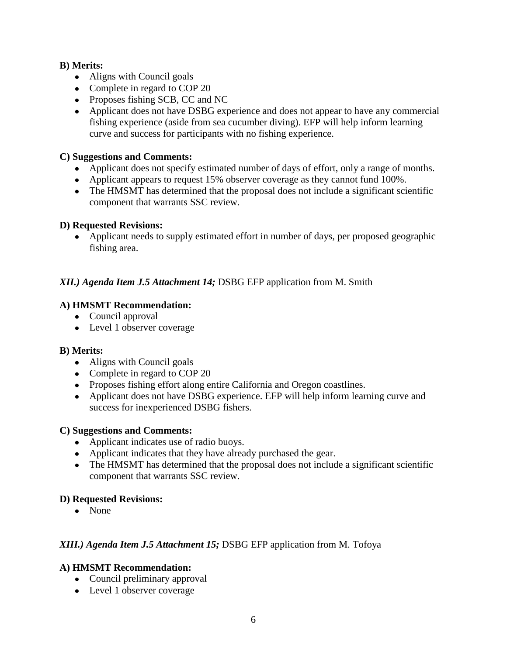- Aligns with Council goals
- Complete in regard to COP 20
- Proposes fishing SCB, CC and NC
- Applicant does not have DSBG experience and does not appear to have any commercial fishing experience (aside from sea cucumber diving). EFP will help inform learning curve and success for participants with no fishing experience.

### **C) Suggestions and Comments:**

- Applicant does not specify estimated number of days of effort, only a range of months.
- Applicant appears to request 15% observer coverage as they cannot fund 100%.
- The HMSMT has determined that the proposal does not include a significant scientific component that warrants SSC review.

### **D) Requested Revisions:**

• Applicant needs to supply estimated effort in number of days, per proposed geographic fishing area.

# *XII.) Agenda Item J.5 Attachment 14;* DSBG EFP application from M. Smith

# **A) HMSMT Recommendation:**

- Council approval
- Level 1 observer coverage

### **B) Merits:**

- Aligns with Council goals
- Complete in regard to COP 20
- Proposes fishing effort along entire California and Oregon coastlines.
- Applicant does not have DSBG experience. EFP will help inform learning curve and success for inexperienced DSBG fishers.

### **C) Suggestions and Comments:**

- Applicant indicates use of radio buoys.
- Applicant indicates that they have already purchased the gear.
- The HMSMT has determined that the proposal does not include a significant scientific component that warrants SSC review.

### **D) Requested Revisions:**

● None

# *XIII.) Agenda Item J.5 Attachment 15;* DSBG EFP application from M. Tofoya

- Council preliminary approval
- Level 1 observer coverage